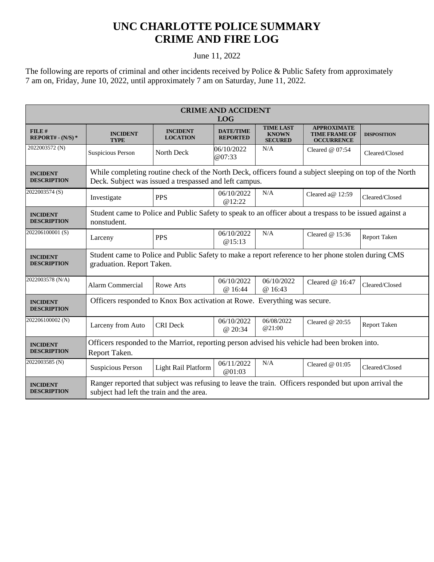## **UNC CHARLOTTE POLICE SUMMARY CRIME AND FIRE LOG**

## June 11, 2022

The following are reports of criminal and other incidents received by Police & Public Safety from approximately 7 am on, Friday, June 10, 2022, until approximately 7 am on Saturday, June 11, 2022.

| <b>CRIME AND ACCIDENT</b><br><b>LOG</b> |                                                                                                                                                                   |                                    |                                     |                                                    |                                                                 |                    |  |
|-----------------------------------------|-------------------------------------------------------------------------------------------------------------------------------------------------------------------|------------------------------------|-------------------------------------|----------------------------------------------------|-----------------------------------------------------------------|--------------------|--|
| FILE#<br>REPORT# - $(N/S)*$             | <b>INCIDENT</b><br><b>TYPE</b>                                                                                                                                    | <b>INCIDENT</b><br><b>LOCATION</b> | <b>DATE/TIME</b><br><b>REPORTED</b> | <b>TIME LAST</b><br><b>KNOWN</b><br><b>SECURED</b> | <b>APPROXIMATE</b><br><b>TIME FRAME OF</b><br><b>OCCURRENCE</b> | <b>DISPOSITION</b> |  |
| 2022003572 (N)                          | Suspicious Person                                                                                                                                                 | North Deck                         | 06/10/2022<br>@07:33                | N/A                                                | Cleared $@$ 07:54                                               | Cleared/Closed     |  |
| <b>INCIDENT</b><br><b>DESCRIPTION</b>   | While completing routine check of the North Deck, officers found a subject sleeping on top of the North<br>Deck. Subject was issued a trespassed and left campus. |                                    |                                     |                                                    |                                                                 |                    |  |
| 2022003574 (S)                          | Investigate                                                                                                                                                       | <b>PPS</b>                         | 06/10/2022<br>@12:22                | N/A                                                | Cleared a@ 12:59                                                | Cleared/Closed     |  |
| <b>INCIDENT</b><br><b>DESCRIPTION</b>   | Student came to Police and Public Safety to speak to an officer about a trespass to be issued against a<br>nonstudent.                                            |                                    |                                     |                                                    |                                                                 |                    |  |
| 202206100001(S)                         | Larceny                                                                                                                                                           | <b>PPS</b>                         | 06/10/2022<br>@15:13                | N/A                                                | Cleared $@15:36$                                                | Report Taken       |  |
| <b>INCIDENT</b><br><b>DESCRIPTION</b>   | Student came to Police and Public Safety to make a report reference to her phone stolen during CMS<br>graduation. Report Taken.                                   |                                    |                                     |                                                    |                                                                 |                    |  |
| 2022003578 (N/A)                        | Alarm Commercial                                                                                                                                                  | Rowe Arts                          | 06/10/2022<br>@16:44                | 06/10/2022<br>@ 16:43                              | Cleared @ 16:47                                                 | Cleared/Closed     |  |
| <b>INCIDENT</b><br><b>DESCRIPTION</b>   | Officers responded to Knox Box activation at Rowe. Everything was secure.                                                                                         |                                    |                                     |                                                    |                                                                 |                    |  |
| 202206100002 (N)                        | Larceny from Auto                                                                                                                                                 | <b>CRI</b> Deck                    | 06/10/2022<br>@ 20:34               | 06/08/2022<br>@21:00                               | Cleared $@20:55$                                                | Report Taken       |  |
| <b>INCIDENT</b><br><b>DESCRIPTION</b>   | Officers responded to the Marriot, reporting person advised his vehicle had been broken into.<br>Report Taken.                                                    |                                    |                                     |                                                    |                                                                 |                    |  |
| 2022003585 (N)                          | <b>Suspicious Person</b>                                                                                                                                          | Light Rail Platform                | 06/11/2022<br>@01:03                | N/A                                                | Cleared $@01:05$                                                | Cleared/Closed     |  |
| <b>INCIDENT</b><br><b>DESCRIPTION</b>   | Ranger reported that subject was refusing to leave the train. Officers responded but upon arrival the<br>subject had left the train and the area.                 |                                    |                                     |                                                    |                                                                 |                    |  |